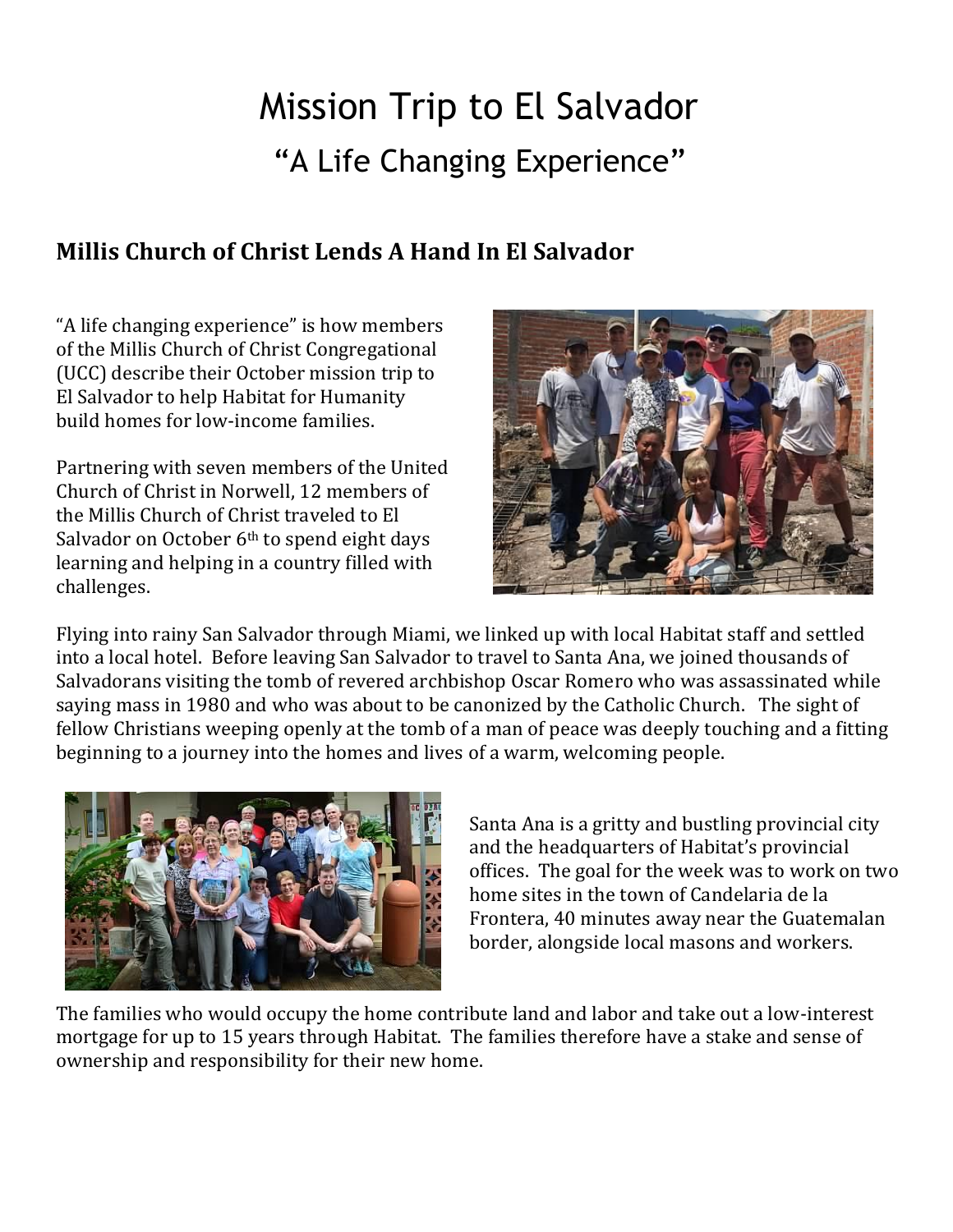## Mission Trip to El Salvador "A Life Changing Experience"

## **Millis Church of Christ Lends A Hand In El Salvador**

"A life changing experience" is how members of the Millis Church of Christ Congregational (UCC) describe their October mission trip to El Salvador to help Habitat for Humanity build homes for low-income families.

Partnering with seven members of the United Church of Christ in Norwell, 12 members of the Millis Church of Christ traveled to El Salvador on October 6<sup>th</sup> to spend eight days learning and helping in a country filled with challenges.



Flying into rainy San Salvador through Miami, we linked up with local Habitat staff and settled into a local hotel. Before leaving San Salvador to travel to Santa Ana, we joined thousands of Salvadorans visiting the tomb of revered archbishop Oscar Romero who was assassinated while saying mass in 1980 and who was about to be canonized by the Catholic Church. The sight of fellow Christians weeping openly at the tomb of a man of peace was deeply touching and a fitting beginning to a journey into the homes and lives of a warm, welcoming people.



Santa Ana is a gritty and bustling provincial city and the headquarters of Habitat's provincial offices. The goal for the week was to work on two home sites in the town of Candelaria de la Frontera, 40 minutes away near the Guatemalan border, alongside local masons and workers.

The families who would occupy the home contribute land and labor and take out a low-interest mortgage for up to 15 years through Habitat. The families therefore have a stake and sense of ownership and responsibility for their new home.